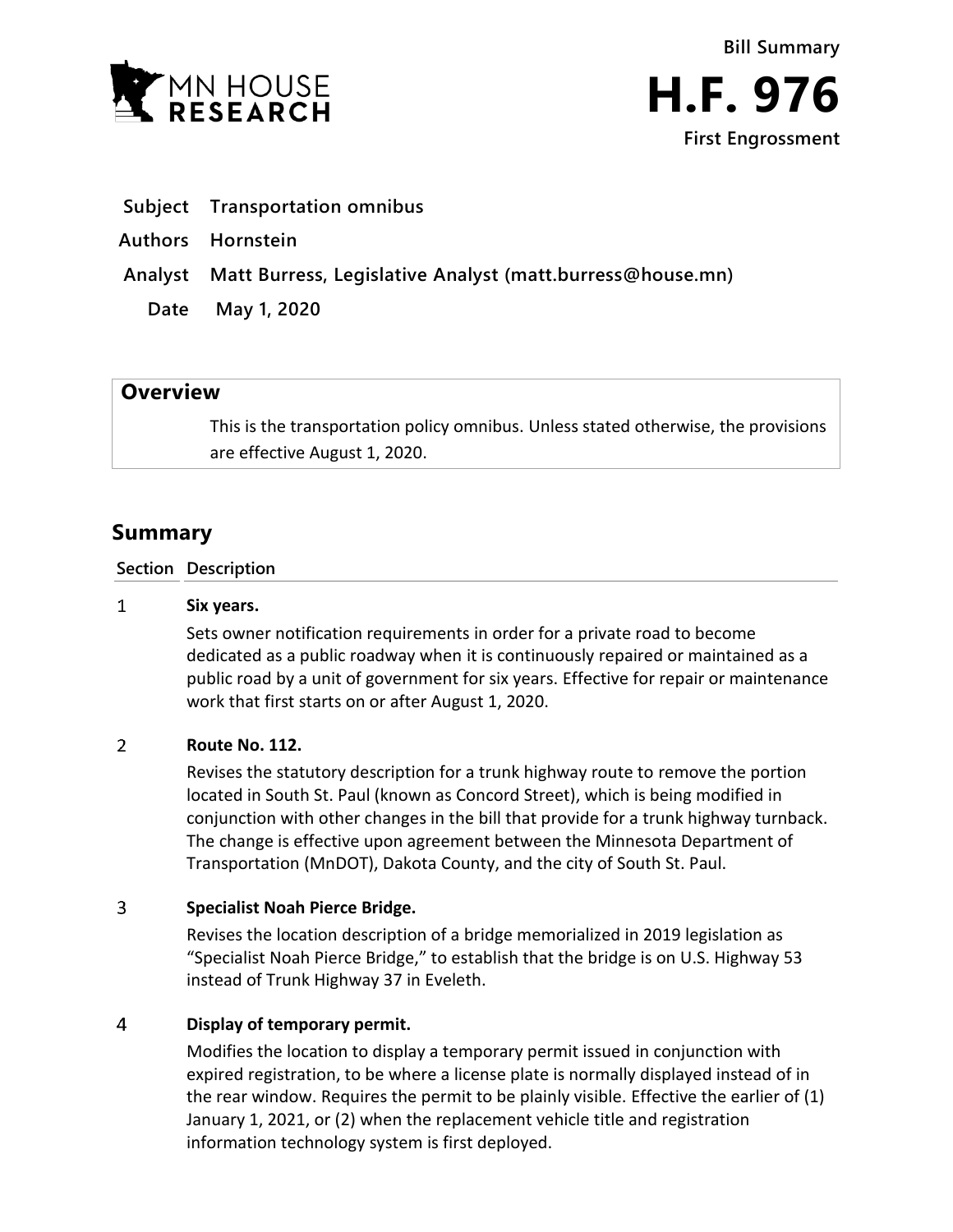

- **Subject Transportation omnibus**
- **Authors Hornstein**
- **Analyst Matt Burress, Legislative Analyst (matt.burress@house.mn)**
	- **Date May 1, 2020**

## **Overview**

This is the transportation policy omnibus. Unless stated otherwise, the provisions are effective August 1, 2020.

# **Summary**

### **Section Description**

#### $\mathbf{1}$ **Six years.**

Sets owner notification requirements in order for a private road to become dedicated as a public roadway when it is continuously repaired or maintained as a public road by a unit of government for six years. Effective for repair or maintenance work that first starts on or after August 1, 2020.

#### $\overline{2}$ **Route No. 112.**

Revises the statutory description for a trunk highway route to remove the portion located in South St. Paul (known as Concord Street), which is being modified in conjunction with other changes in the bill that provide for a trunk highway turnback. The change is effective upon agreement between the Minnesota Department of Transportation (MnDOT), Dakota County, and the city of South St. Paul.

#### 3 **Specialist Noah Pierce Bridge.**

Revises the location description of a bridge memorialized in 2019 legislation as "Specialist Noah Pierce Bridge," to establish that the bridge is on U.S. Highway 53 instead of Trunk Highway 37 in Eveleth.

#### $\overline{4}$ **Display of temporary permit.**

Modifies the location to display a temporary permit issued in conjunction with expired registration, to be where a license plate is normally displayed instead of in the rear window. Requires the permit to be plainly visible. Effective the earlier of (1) January 1, 2021, or (2) when the replacement vehicle title and registration information technology system is first deployed.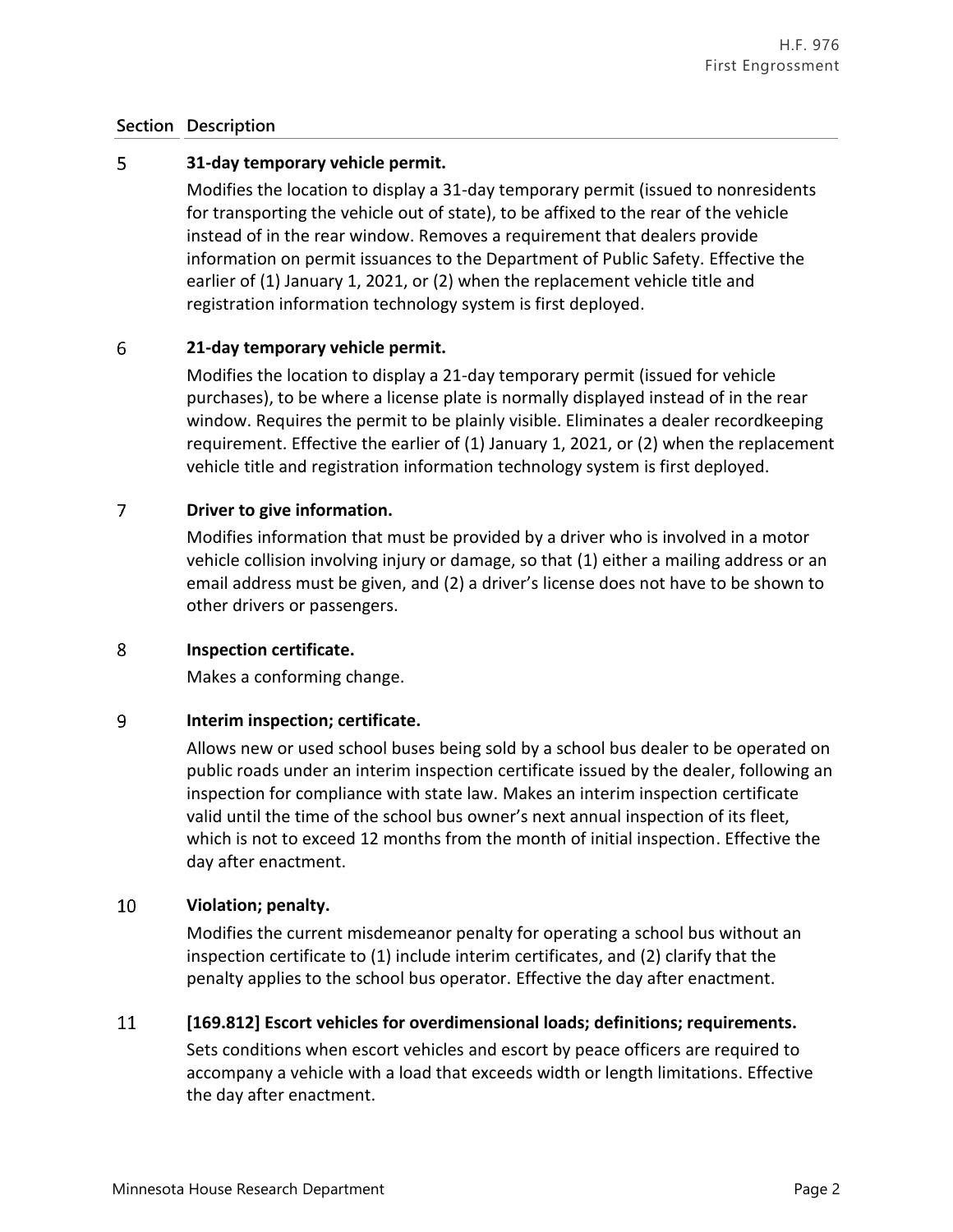### **Section Description**

#### 5 **31-day temporary vehicle permit.**

Modifies the location to display a 31-day temporary permit (issued to nonresidents for transporting the vehicle out of state), to be affixed to the rear of the vehicle instead of in the rear window. Removes a requirement that dealers provide information on permit issuances to the Department of Public Safety. Effective the earlier of (1) January 1, 2021, or (2) when the replacement vehicle title and registration information technology system is first deployed.

#### 6 **21-day temporary vehicle permit.**

Modifies the location to display a 21-day temporary permit (issued for vehicle purchases), to be where a license plate is normally displayed instead of in the rear window. Requires the permit to be plainly visible. Eliminates a dealer recordkeeping requirement. Effective the earlier of (1) January 1, 2021, or (2) when the replacement vehicle title and registration information technology system is first deployed.

#### $\overline{7}$ **Driver to give information.**

Modifies information that must be provided by a driver who is involved in a motor vehicle collision involving injury or damage, so that (1) either a mailing address or an email address must be given, and (2) a driver's license does not have to be shown to other drivers or passengers.

#### 8 **Inspection certificate.**

Makes a conforming change.

#### 9 **Interim inspection; certificate.**

Allows new or used school buses being sold by a school bus dealer to be operated on public roads under an interim inspection certificate issued by the dealer, following an inspection for compliance with state law. Makes an interim inspection certificate valid until the time of the school bus owner's next annual inspection of its fleet, which is not to exceed 12 months from the month of initial inspection. Effective the day after enactment.

#### 10 **Violation; penalty.**

Modifies the current misdemeanor penalty for operating a school bus without an inspection certificate to (1) include interim certificates, and (2) clarify that the penalty applies to the school bus operator. Effective the day after enactment.

#### 11 **[169.812] Escort vehicles for overdimensional loads; definitions; requirements.**

Sets conditions when escort vehicles and escort by peace officers are required to accompany a vehicle with a load that exceeds width or length limitations. Effective the day after enactment.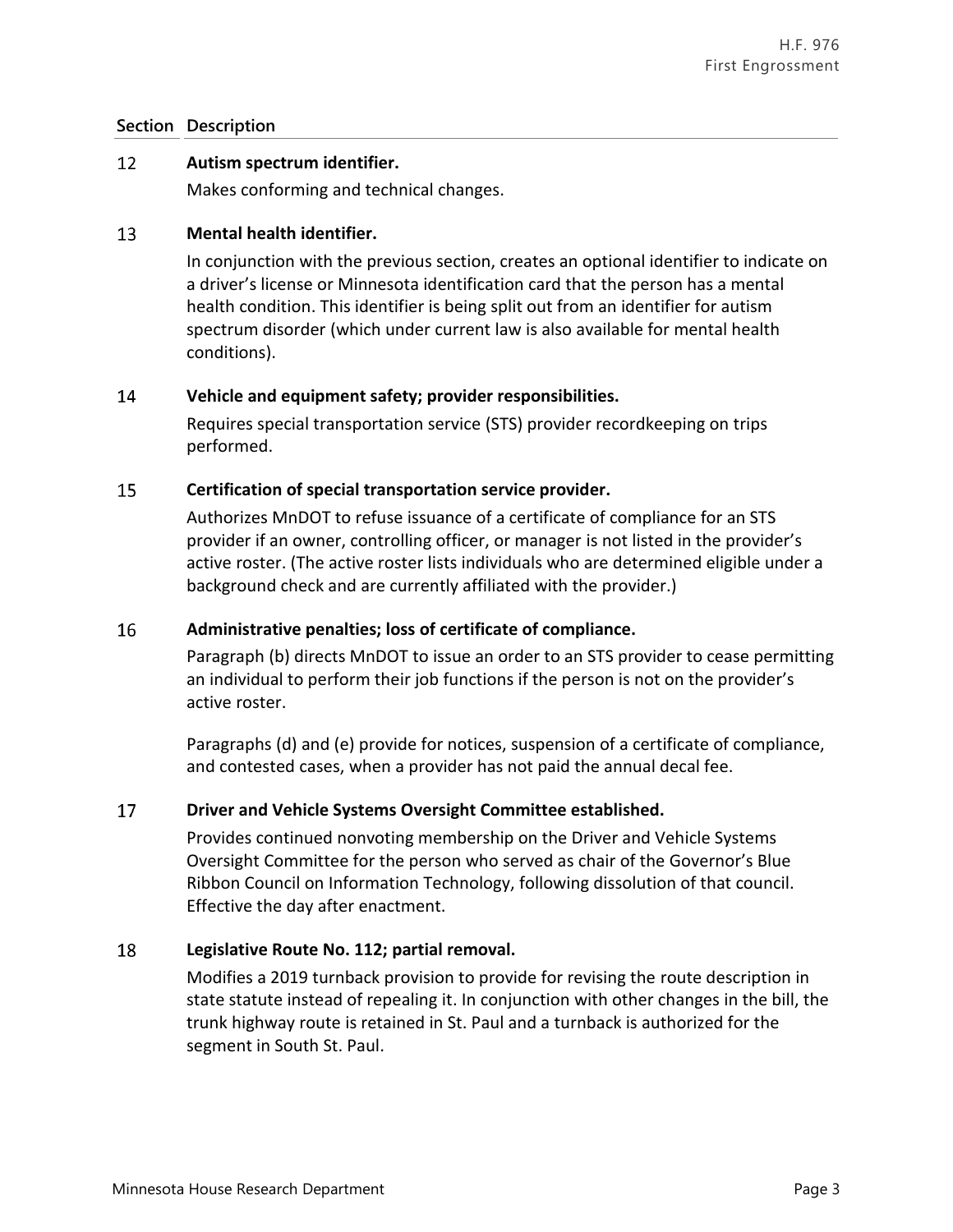### **Section Description**

#### 12 **Autism spectrum identifier.**

Makes conforming and technical changes.

#### 13 **Mental health identifier.**

In conjunction with the previous section, creates an optional identifier to indicate on a driver's license or Minnesota identification card that the person has a mental health condition. This identifier is being split out from an identifier for autism spectrum disorder (which under current law is also available for mental health conditions).

#### 14 **Vehicle and equipment safety; provider responsibilities.**

Requires special transportation service (STS) provider recordkeeping on trips performed.

#### 15 **Certification of special transportation service provider.**

Authorizes MnDOT to refuse issuance of a certificate of compliance for an STS provider if an owner, controlling officer, or manager is not listed in the provider's active roster. (The active roster lists individuals who are determined eligible under a background check and are currently affiliated with the provider.)

#### 16 **Administrative penalties; loss of certificate of compliance.**

Paragraph (b) directs MnDOT to issue an order to an STS provider to cease permitting an individual to perform their job functions if the person is not on the provider's active roster.

Paragraphs (d) and (e) provide for notices, suspension of a certificate of compliance, and contested cases, when a provider has not paid the annual decal fee.

#### 17 **Driver and Vehicle Systems Oversight Committee established.**

Provides continued nonvoting membership on the Driver and Vehicle Systems Oversight Committee for the person who served as chair of the Governor's Blue Ribbon Council on Information Technology, following dissolution of that council. Effective the day after enactment.

#### 18 **Legislative Route No. 112; partial removal.**

Modifies a 2019 turnback provision to provide for revising the route description in state statute instead of repealing it. In conjunction with other changes in the bill, the trunk highway route is retained in St. Paul and a turnback is authorized for the segment in South St. Paul.